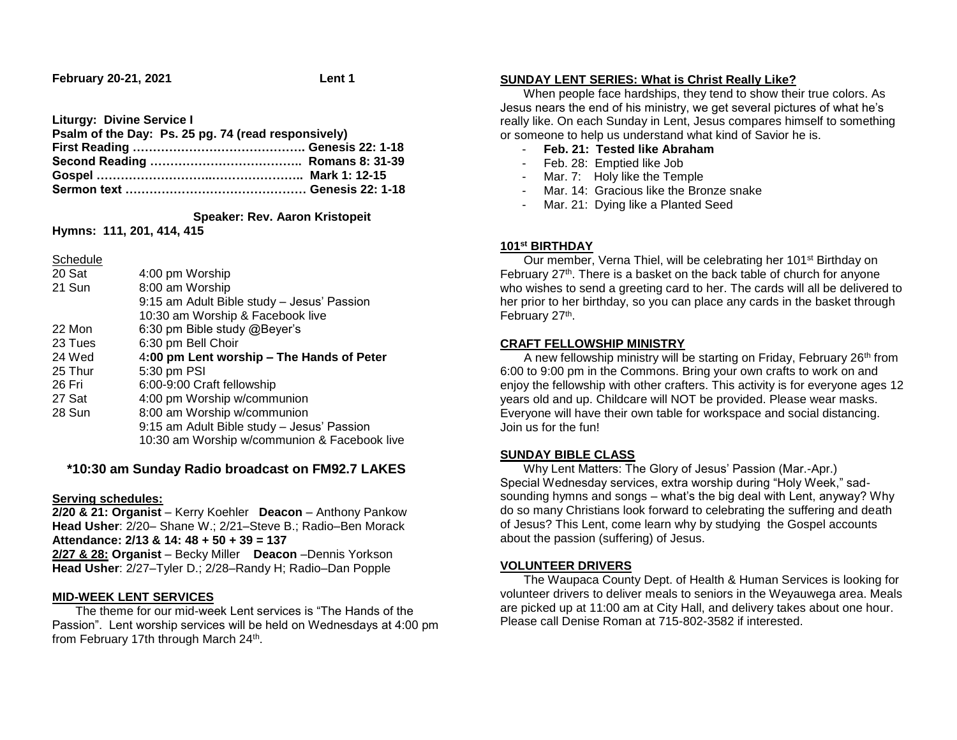**February 20-21, 2021 Lent 1**

**Liturgy: Divine Service I**

| Psalm of the Day: Ps. 25 pg. 74 (read responsively) |  |
|-----------------------------------------------------|--|
|                                                     |  |
|                                                     |  |
|                                                     |  |
|                                                     |  |

 **Speaker: Rev. Aaron Kristopeit**

**Hymns: 111, 201, 414, 415**

**Schedule** 

| 20 Sat  | 4:00 pm Worship                              |
|---------|----------------------------------------------|
| 21 Sun  | 8:00 am Worship                              |
|         | 9:15 am Adult Bible study - Jesus' Passion   |
|         | 10:30 am Worship & Facebook live             |
| 22 Mon  | 6:30 pm Bible study @Beyer's                 |
| 23 Tues | 6:30 pm Bell Choir                           |
| 24 Wed  | 4:00 pm Lent worship - The Hands of Peter    |
| 25 Thur | 5:30 pm PSI                                  |
| 26 Fri  | 6:00-9:00 Craft fellowship                   |
| 27 Sat  | 4:00 pm Worship w/communion                  |
| 28 Sun  | 8:00 am Worship w/communion                  |
|         | 9:15 am Adult Bible study - Jesus' Passion   |
|         | 10:30 am Worship w/communion & Facebook live |
|         |                                              |

# **\*10:30 am Sunday Radio broadcast on FM92.7 LAKES**

### **Serving schedules:**

**2/20 & 21: Organist** – Kerry Koehler **Deacon** – Anthony Pankow **Head Usher**: 2/20– Shane W.; 2/21–Steve B.; Radio–Ben Morack **Attendance: 2/13 & 14: 48 + 50 + 39 = 137 2/27 & 28: Organist** – Becky Miller **Deacon** –Dennis Yorkson **Head Usher**: 2/27–Tyler D.; 2/28–Randy H; Radio–Dan Popple

### **MID-WEEK LENT SERVICES**

 The theme for our mid-week Lent services is "The Hands of the Passion". Lent worship services will be held on Wednesdays at 4:00 pm from February 17th through March 24<sup>th</sup>.

## **SUNDAY LENT SERIES: What is Christ Really Like?**

 When people face hardships, they tend to show their true colors. As Jesus nears the end of his ministry, we get several pictures of what he's really like. On each Sunday in Lent, Jesus compares himself to something or someone to help us understand what kind of Savior he is.

- **Feb. 21: Tested like Abraham**
- Feb. 28: Emptied like Job
- Mar. 7: Holy like the Temple
- Mar. 14: Gracious like the Bronze snake
- Mar. 21: Dying like a Planted Seed

## **101st BIRTHDAY**

Our member, Verna Thiel, will be celebrating her 101<sup>st</sup> Birthday on February 27<sup>th</sup>. There is a basket on the back table of church for anyone who wishes to send a greeting card to her. The cards will all be delivered to her prior to her birthday, so you can place any cards in the basket through February 27<sup>th</sup>.

### **CRAFT FELLOWSHIP MINISTRY**

 A new fellowship ministry will be starting on Friday, February 26th from 6:00 to 9:00 pm in the Commons. Bring your own crafts to work on and enjoy the fellowship with other crafters. This activity is for everyone ages 12 years old and up. Childcare will NOT be provided. Please wear masks. Everyone will have their own table for workspace and social distancing. Join us for the fun!

### **SUNDAY BIBLE CLASS**

 Why Lent Matters: The Glory of Jesus' Passion (Mar.-Apr.) Special Wednesday services, extra worship during "Holy Week," sadsounding hymns and songs – what's the big deal with Lent, anyway? Why do so many Christians look forward to celebrating the suffering and death of Jesus? This Lent, come learn why by studying the Gospel accounts about the passion (suffering) of Jesus.

### **VOLUNTEER DRIVERS**

 The Waupaca County Dept. of Health & Human Services is looking for volunteer drivers to deliver meals to seniors in the Weyauwega area. Meals are picked up at 11:00 am at City Hall, and delivery takes about one hour. Please call Denise Roman at 715-802-3582 if interested.